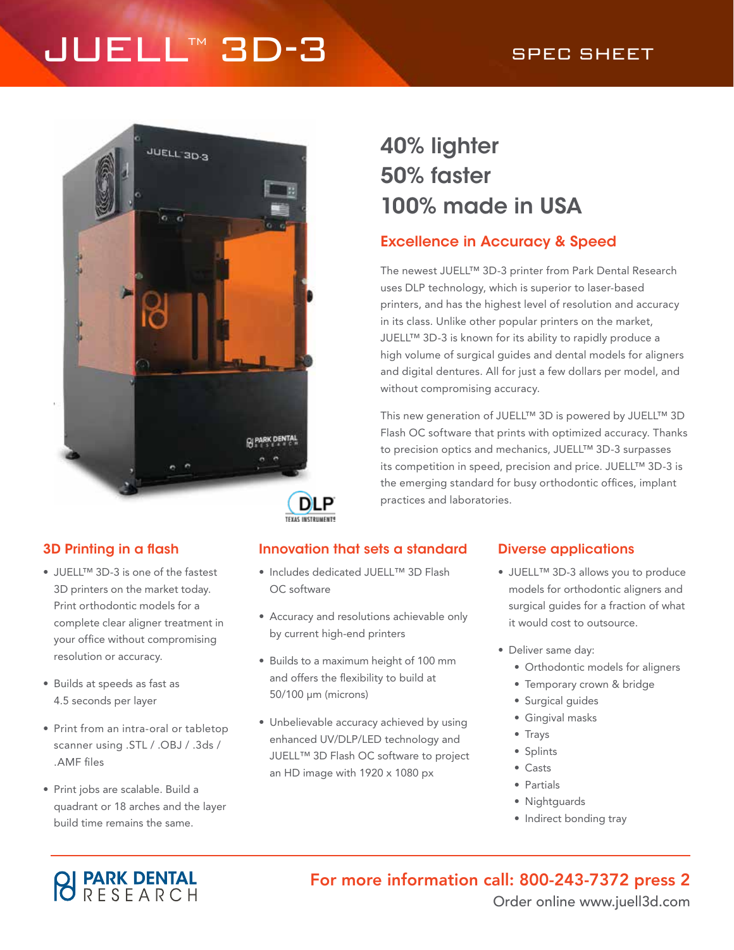# JUELL™ 3D-3<br>
SPEC SHEET



## 40% lighter 50% faster 100% made in USA

## Excellence in Accuracy & Speed

The newest JUELL™ 3D-3 printer from Park Dental Research uses DLP technology, which is superior to laser-based printers, and has the highest level of resolution and accuracy in its class. Unlike other popular printers on the market, JUELL™ 3D-3 is known for its ability to rapidly produce a high volume of surgical guides and dental models for aligners and digital dentures. All for just a few dollars per model, and without compromising accuracy.

This new generation of JUELL™ 3D is powered by JUELL™ 3D Flash OC software that prints with optimized accuracy. Thanks to precision optics and mechanics, JUELL™ 3D-3 surpasses its competition in speed, precision and price. JUELL™ 3D-3 is the emerging standard for busy orthodontic offices, implant practices and laboratories.

**DLP TEXAS INSTRUMENTS** 

- JUELL™ 3D-3 is one of the fastest 3D printers on the market today. Print orthodontic models for a complete clear aligner treatment in your office without compromising resolution or accuracy.
- Builds at speeds as fast as 4.5 seconds per layer
- Print from an intra-oral or tabletop scanner using .STL / .OBJ / .3ds / .AMF files
- Print jobs are scalable. Build a quadrant or 18 arches and the layer build time remains the same.

### 3D Printing in a flash Innovation that sets a standard Diverse applications

- Includes dedicated JUELL™ 3D Flash OC software
- Accuracy and resolutions achievable only by current high-end printers
- Builds to a maximum height of 100 mm and offers the flexibility to build at 50/100 μm (microns)
- Unbelievable accuracy achieved by using enhanced UV/DLP/LED technology and JUELL™ 3D Flash OC software to project an HD image with 1920 x 1080 px

- JUELL™ 3D-3 allows you to produce models for orthodontic aligners and surgical guides for a fraction of what it would cost to outsource.
- Deliver same day:
	- Orthodontic models for aligners
	- Temporary crown & bridge
	- Surgical guides
	- Gingival masks
	- Trays
	- Splints
	- Casts
	- Partials
	- Nightguards
	- Indirect bonding tray



For more information call: 800-243-7372 press 2 Order online www.juell3d.com